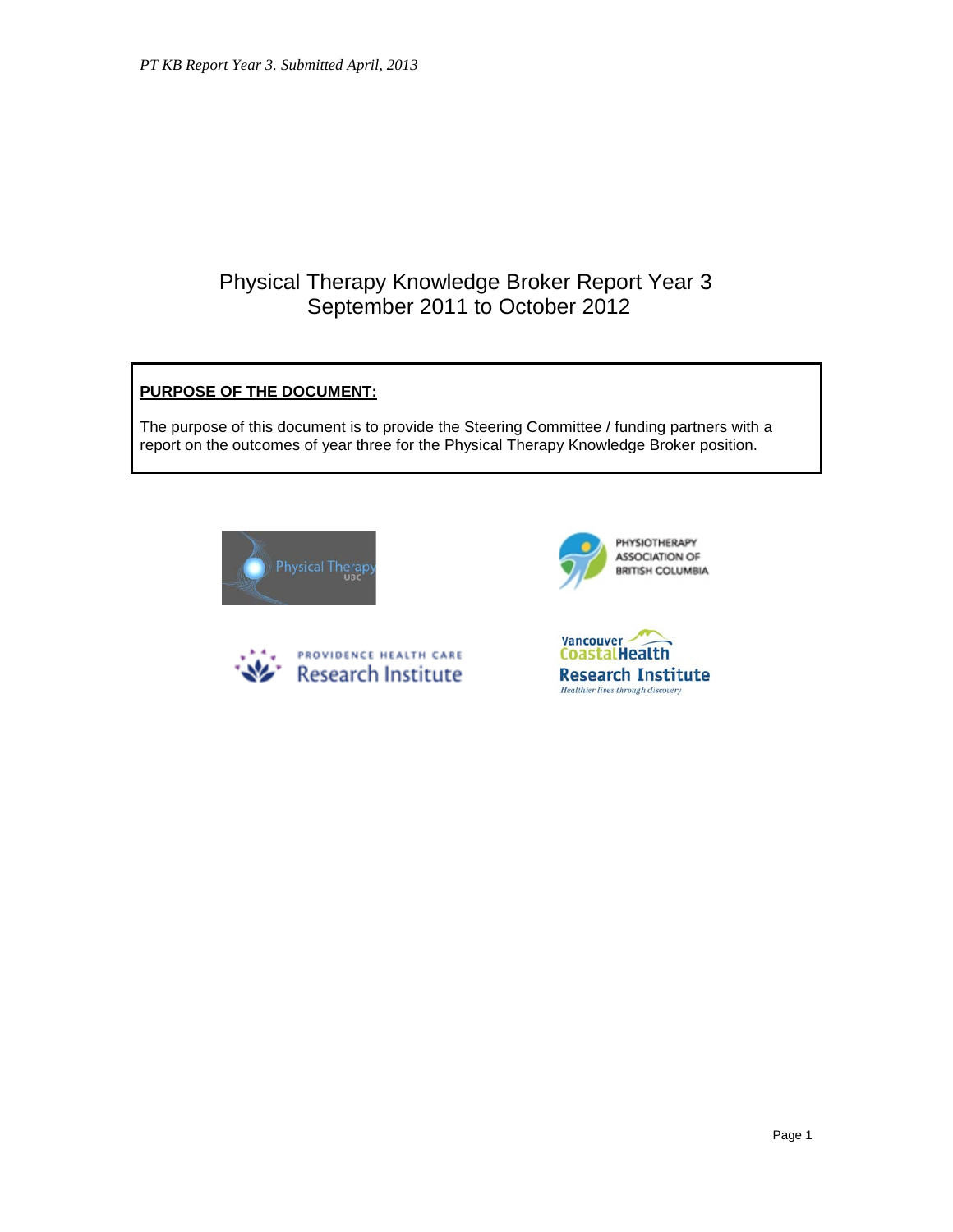# Physical Therapy Knowledge Broker Report Year 3 September 2011 to October 2012

## **PURPOSE OF THE DOCUMENT:**

The purpose of this document is to provide the Steering Committee / funding partners with a report on the outcomes of year three for the Physical Therapy Knowledge Broker position.







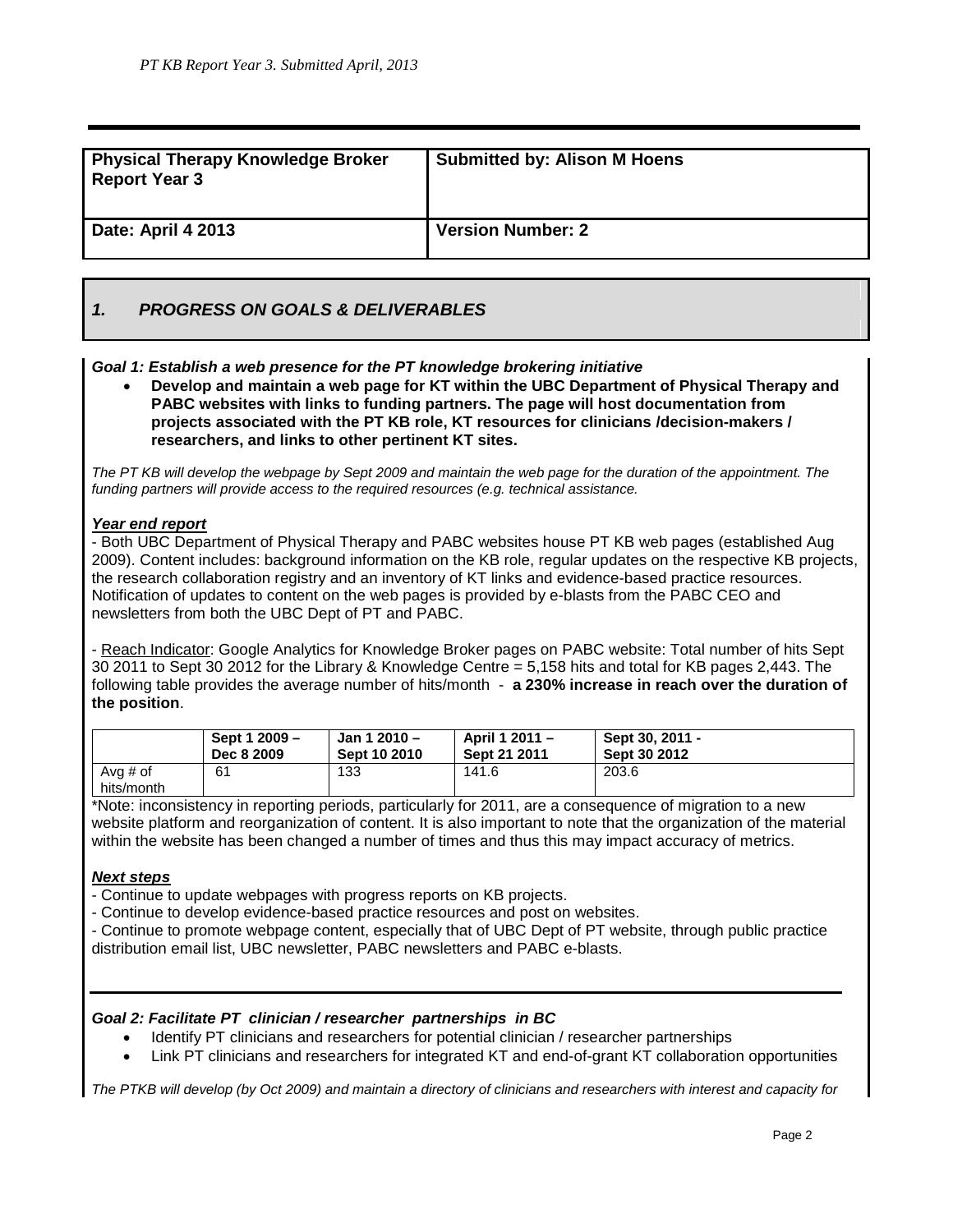| <b>Physical Therapy Knowledge Broker</b><br><b>Report Year 3</b> | <b>Submitted by: Alison M Hoens</b> |
|------------------------------------------------------------------|-------------------------------------|
| <b>Date: April 4 2013</b>                                        | <b>Version Number: 2</b>            |

## *1. PROGRESS ON GOALS & DELIVERABLES*

## *Goal 1: Establish a web presence for the PT knowledge brokering initiative*

• **Develop and maintain a web page for KT within the UBC Department of Physical Therapy and PABC websites with links to funding partners. The page will host documentation from projects associated with the PT KB role, KT resources for clinicians /decision-makers / researchers, and links to other pertinent KT sites.**

*The PT KB will develop the webpage by Sept 2009 and maintain the web page for the duration of the appointment. The funding partners will provide access to the required resources (e.g. technical assistance.*

#### *Year end report*

- Both UBC Department of Physical Therapy and PABC websites house PT KB web pages (established Aug 2009). Content includes: background information on the KB role, regular updates on the respective KB projects, the research collaboration registry and an inventory of KT links and evidence-based practice resources. Notification of updates to content on the web pages is provided by e-blasts from the PABC CEO and newsletters from both the UBC Dept of PT and PABC.

- Reach Indicator: Google Analytics for Knowledge Broker pages on PABC website: Total number of hits Sept 30 2011 to Sept 30 2012 for the Library & Knowledge Centre = 5,158 hits and total for KB pages 2,443. The following table provides the average number of hits/month - **a 230% increase in reach over the duration of the position**.

|                        | Sept 1 2009 - | Jan 1 2010 - | April 1 2011 - | Sept 30, 2011 - |
|------------------------|---------------|--------------|----------------|-----------------|
|                        | Dec 8 2009    | Sept 10 2010 | Sept 21 2011   | Sept 30 2012    |
| Avg # of<br>hits/month | 61            | 133          | 141.6          | 203.6           |

\*Note: inconsistency in reporting periods, particularly for 2011, are a consequence of migration to a new website platform and reorganization of content. It is also important to note that the organization of the material within the website has been changed a number of times and thus this may impact accuracy of metrics.

## *Next steps*

- Continue to update webpages with progress reports on KB projects.

- Continue to develop evidence-based practice resources and post on websites.
- Continue to promote webpage content, especially that of UBC Dept of PT website, through public practice distribution email list, UBC newsletter, PABC newsletters and PABC e-blasts.

## *Goal 2: Facilitate PT clinician / researcher partnerships in BC*

- Identify PT clinicians and researchers for potential clinician / researcher partnerships
- Link PT clinicians and researchers for integrated KT and end-of-grant KT collaboration opportunities

*The PTKB will develop (by Oct 2009) and maintain a directory of clinicians and researchers with interest and capacity for*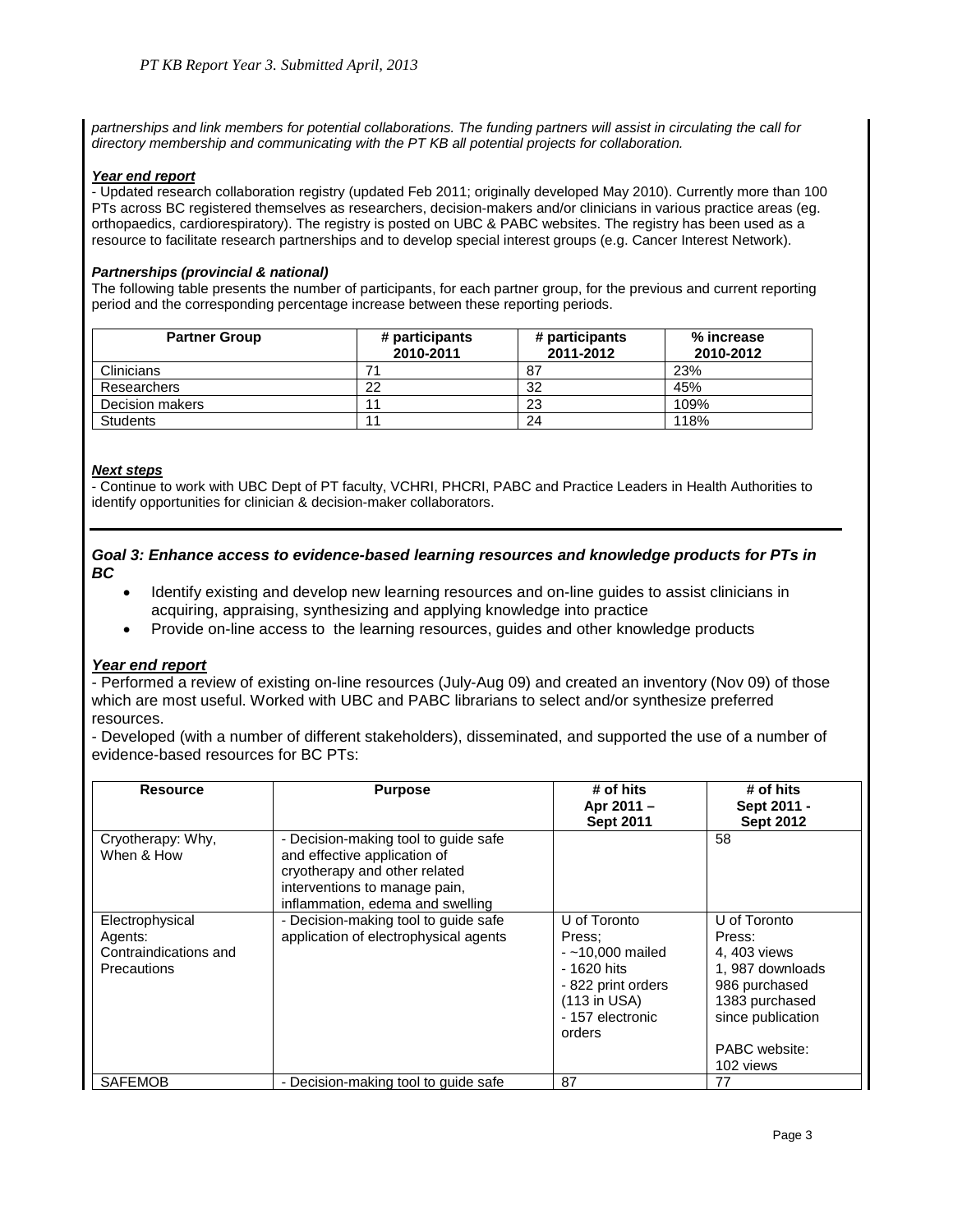*partnerships and link members for potential collaborations. The funding partners will assist in circulating the call for directory membership and communicating with the PT KB all potential projects for collaboration.*

#### *Year end report*

- Updated research collaboration registry (updated Feb 2011; originally developed May 2010). Currently more than 100 PTs across BC registered themselves as researchers, decision-makers and/or clinicians in various practice areas (eg. orthopaedics, cardiorespiratory). The registry is posted on UBC & PABC websites. The registry has been used as a resource to facilitate research partnerships and to develop special interest groups (e.g. Cancer Interest Network).

#### *Partnerships (provincial & national)*

The following table presents the number of participants, for each partner group, for the previous and current reporting period and the corresponding percentage increase between these reporting periods.

| <b>Partner Group</b> | # participants<br>2010-2011 | # participants<br>2011-2012 | % increase<br>2010-2012 |
|----------------------|-----------------------------|-----------------------------|-------------------------|
| <b>Clinicians</b>    |                             | 87                          | 23%                     |
| Researchers          | 22                          | 32                          | 45%                     |
| Decision makers      |                             | 23                          | 109%                    |
| <b>Students</b>      |                             | 24                          | 118%                    |

#### *Next steps*

- Continue to work with UBC Dept of PT faculty, VCHRI, PHCRI, PABC and Practice Leaders in Health Authorities to identify opportunities for clinician & decision-maker collaborators.

#### *Goal 3: Enhance access to evidence-based learning resources and knowledge products for PTs in BC*

- Identify existing and develop new learning resources and on-line guides to assist clinicians in acquiring, appraising, synthesizing and applying knowledge into practice
- Provide on-line access to the learning resources, guides and other knowledge products

## *Year end report*

- Performed a review of existing on-line resources (July-Aug 09) and created an inventory (Nov 09) of those which are most useful. Worked with UBC and PABC librarians to select and/or synthesize preferred resources.

- Developed (with a number of different stakeholders), disseminated, and supported the use of a number of evidence-based resources for BC PTs:

| <b>Resource</b>                                                           | <b>Purpose</b>                                                                                                                                                             | # of hits<br>Apr 2011 -<br><b>Sept 2011</b>                                                                                      | # of hits<br>Sept 2011 -<br><b>Sept 2012</b>                                                                                                    |
|---------------------------------------------------------------------------|----------------------------------------------------------------------------------------------------------------------------------------------------------------------------|----------------------------------------------------------------------------------------------------------------------------------|-------------------------------------------------------------------------------------------------------------------------------------------------|
| Cryotherapy: Why,<br>When & How                                           | - Decision-making tool to guide safe<br>and effective application of<br>cryotherapy and other related<br>interventions to manage pain,<br>inflammation, edema and swelling |                                                                                                                                  | 58                                                                                                                                              |
| Electrophysical<br>Agents:<br>Contraindications and<br><b>Precautions</b> | - Decision-making tool to guide safe<br>application of electrophysical agents                                                                                              | U of Toronto<br>Press:<br>$-210,000$ mailed<br>- 1620 hits<br>- 822 print orders<br>$(113$ in USA)<br>- 157 electronic<br>orders | U of Toronto<br>Press:<br>4, 403 views<br>1.987 downloads<br>986 purchased<br>1383 purchased<br>since publication<br>PABC website:<br>102 views |
| <b>SAFEMOB</b>                                                            | - Decision-making tool to guide safe                                                                                                                                       | 87                                                                                                                               | 77                                                                                                                                              |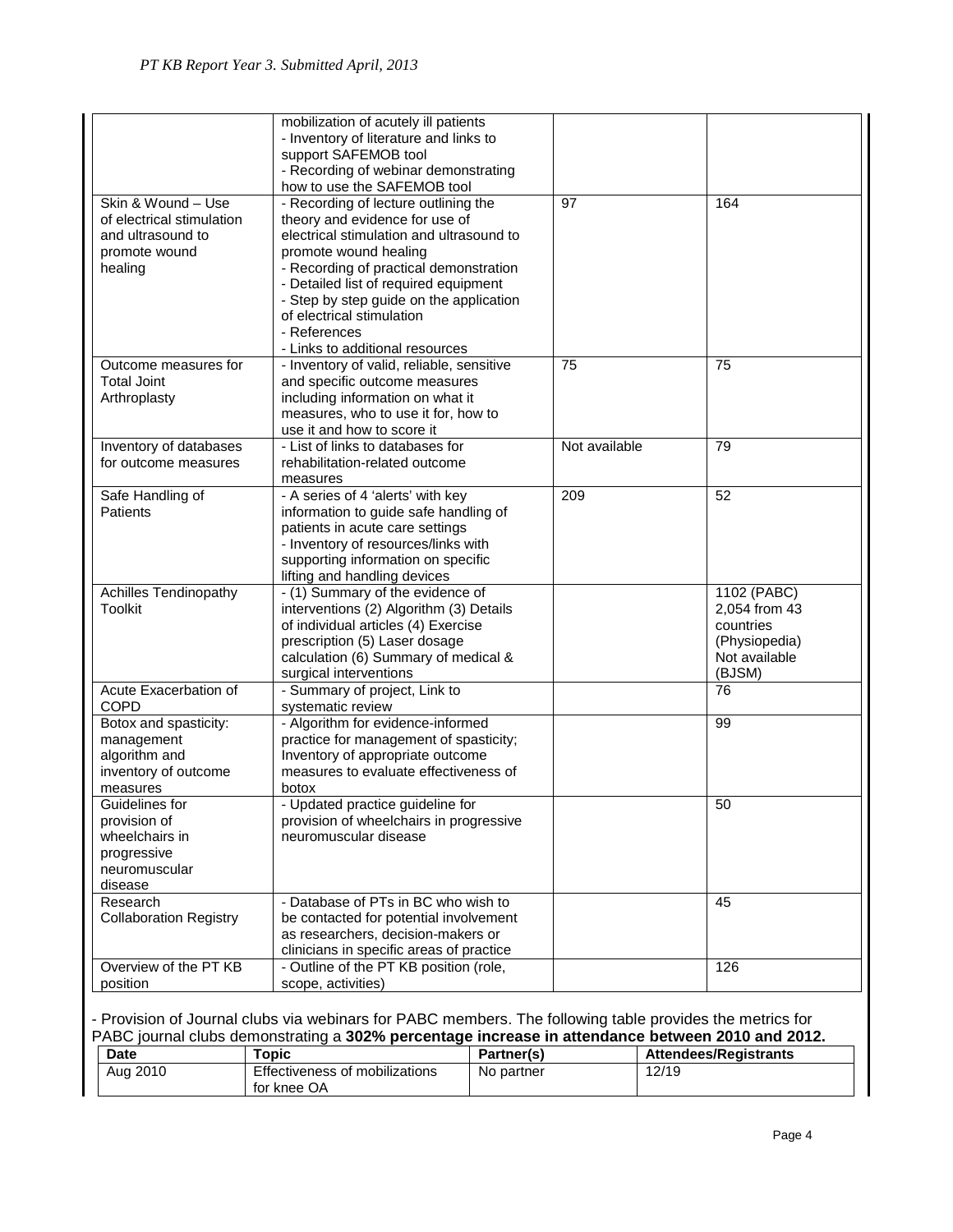|                               | mobilization of acutely ill patients      |               |               |
|-------------------------------|-------------------------------------------|---------------|---------------|
|                               | - Inventory of literature and links to    |               |               |
|                               | support SAFEMOB tool                      |               |               |
|                               | - Recording of webinar demonstrating      |               |               |
|                               | how to use the SAFEMOB tool               |               |               |
| Skin & Wound - Use            | - Recording of lecture outlining the      | 97            | 164           |
| of electrical stimulation     | theory and evidence for use of            |               |               |
| and ultrasound to             | electrical stimulation and ultrasound to  |               |               |
| promote wound                 | promote wound healing                     |               |               |
|                               | - Recording of practical demonstration    |               |               |
| healing                       | - Detailed list of required equipment     |               |               |
|                               |                                           |               |               |
|                               | - Step by step guide on the application   |               |               |
|                               | of electrical stimulation                 |               |               |
|                               | - References                              |               |               |
|                               | - Links to additional resources           |               |               |
| Outcome measures for          | - Inventory of valid, reliable, sensitive | 75            | 75            |
| <b>Total Joint</b>            | and specific outcome measures             |               |               |
| Arthroplasty                  | including information on what it          |               |               |
|                               | measures, who to use it for, how to       |               |               |
|                               | use it and how to score it                |               |               |
| Inventory of databases        | - List of links to databases for          | Not available | 79            |
| for outcome measures          | rehabilitation-related outcome            |               |               |
|                               | measures                                  |               |               |
| Safe Handling of              | - A series of 4 'alerts' with key         | 209           | 52            |
| Patients                      | information to guide safe handling of     |               |               |
|                               |                                           |               |               |
|                               | patients in acute care settings           |               |               |
|                               | - Inventory of resources/links with       |               |               |
|                               | supporting information on specific        |               |               |
|                               | lifting and handling devices              |               |               |
| Achilles Tendinopathy         | - (1) Summary of the evidence of          |               | 1102 (PABC)   |
| Toolkit                       | interventions (2) Algorithm (3) Details   |               | 2,054 from 43 |
|                               | of individual articles (4) Exercise       |               | countries     |
|                               | prescription (5) Laser dosage             |               | (Physiopedia) |
|                               | calculation (6) Summary of medical &      |               | Not available |
|                               | surgical interventions                    |               | (BJSM)        |
| Acute Exacerbation of         | - Summary of project, Link to             |               | 76            |
| <b>COPD</b>                   | systematic review                         |               |               |
| Botox and spasticity:         | - Algorithm for evidence-informed         |               | 99            |
| management                    | practice for management of spasticity;    |               |               |
| algorithm and                 | Inventory of appropriate outcome          |               |               |
| inventory of outcome          | measures to evaluate effectiveness of     |               |               |
| measures                      | botox                                     |               |               |
| Guidelines for                | - Updated practice guideline for          |               | 50            |
| provision of                  | provision of wheelchairs in progressive   |               |               |
|                               |                                           |               |               |
| wheelchairs in                | neuromuscular disease                     |               |               |
| progressive                   |                                           |               |               |
| neuromuscular                 |                                           |               |               |
| disease                       |                                           |               |               |
| Research                      | - Database of PTs in BC who wish to       |               | 45            |
| <b>Collaboration Registry</b> | be contacted for potential involvement    |               |               |
|                               | as researchers, decision-makers or        |               |               |
|                               | clinicians in specific areas of practice  |               |               |
| Overview of the PT KB         | - Outline of the PT KB position (role,    |               | 126           |
| position                      | scope, activities)                        |               |               |

## - Provision of Journal clubs via webinars for PABC members. The following table provides the metrics for PABC journal clubs demonstrating a **302% percentage increase in attendance between 2010 and 2012.**

| <b>Date</b> | <b>opic</b>                    | <b>Partner(s)</b> | <b>Attendees/Registrants</b> |
|-------------|--------------------------------|-------------------|------------------------------|
| Aug 2010    | Effectiveness of mobilizations | No partner        | 12/19                        |
|             | for knee OA                    |                   |                              |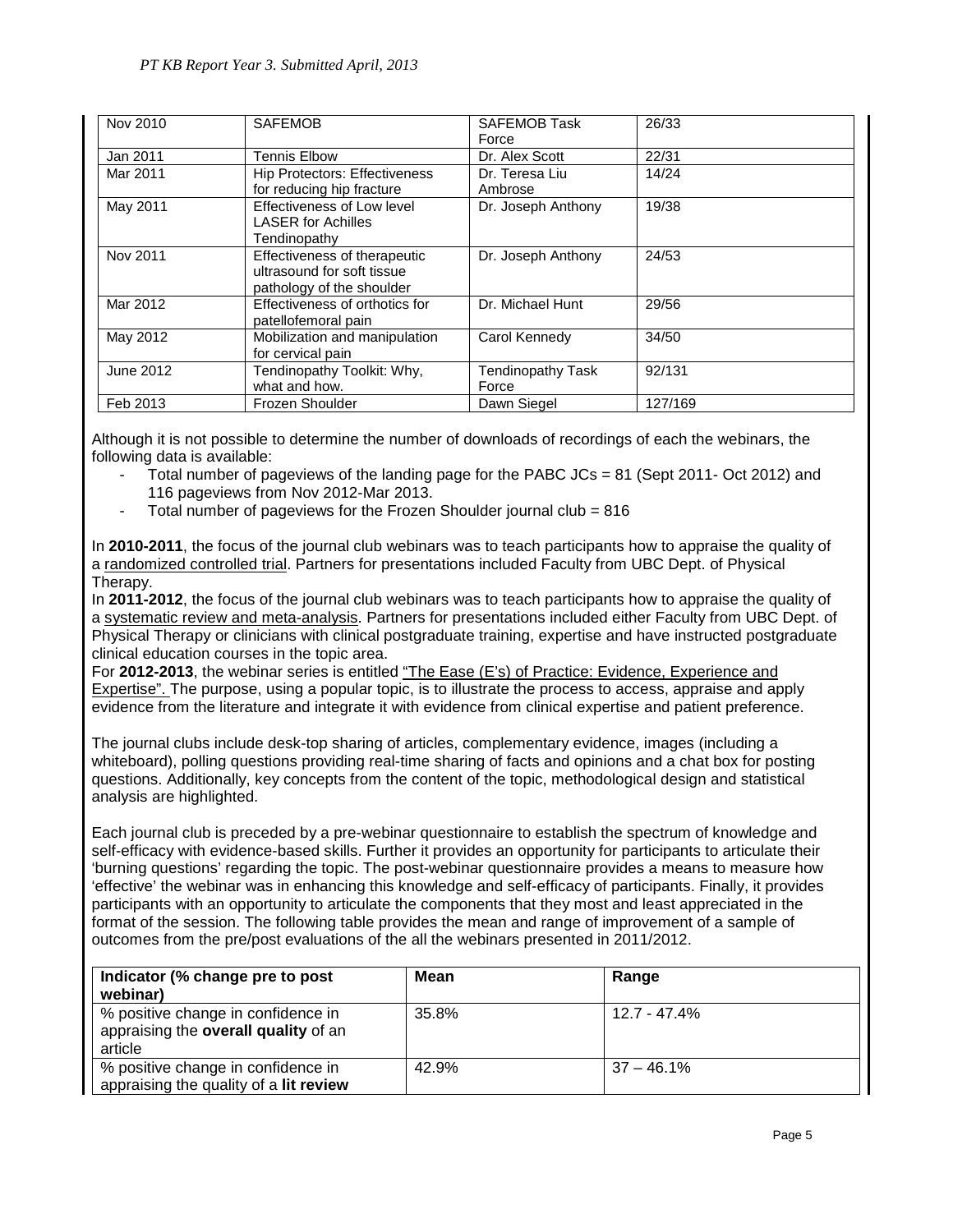| Nov 2010  | <b>SAFEMOB</b>                                                                          | <b>SAFEMOB Task</b><br>Force | 26/33   |
|-----------|-----------------------------------------------------------------------------------------|------------------------------|---------|
| Jan 2011  | <b>Tennis Elbow</b>                                                                     | Dr. Alex Scott               | 22/31   |
| Mar 2011  | <b>Hip Protectors: Effectiveness</b><br>for reducing hip fracture                       | Dr. Teresa Liu<br>Ambrose    | 14/24   |
| May 2011  | Effectiveness of Low level<br><b>LASER for Achilles</b><br>Tendinopathy                 | Dr. Joseph Anthony           | 19/38   |
| Nov 2011  | Effectiveness of therapeutic<br>ultrasound for soft tissue<br>pathology of the shoulder | Dr. Joseph Anthony           | 24/53   |
| Mar 2012  | Effectiveness of orthotics for<br>patellofemoral pain                                   | Dr. Michael Hunt             | 29/56   |
| May 2012  | Mobilization and manipulation<br>for cervical pain                                      | Carol Kennedy                | 34/50   |
| June 2012 | Tendinopathy Toolkit: Why,<br>what and how.                                             | Tendinopathy Task<br>Force   | 92/131  |
| Feb 2013  | Frozen Shoulder                                                                         | Dawn Siegel                  | 127/169 |

Although it is not possible to determine the number of downloads of recordings of each the webinars, the following data is available:

- Total number of pageviews of the landing page for the PABC JCs = 81 (Sept 2011- Oct 2012) and 116 pageviews from Nov 2012-Mar 2013.
- Total number of pageviews for the Frozen Shoulder journal club = 816

In **2010-2011**, the focus of the journal club webinars was to teach participants how to appraise the quality of a randomized controlled trial. Partners for presentations included Faculty from UBC Dept. of Physical Therapy.

In **2011-2012**, the focus of the journal club webinars was to teach participants how to appraise the quality of a systematic review and meta-analysis. Partners for presentations included either Faculty from UBC Dept. of Physical Therapy or clinicians with clinical postgraduate training, expertise and have instructed postgraduate clinical education courses in the topic area.

For 2012-2013, the webinar series is entitled "The Ease (E's) of Practice: Evidence, Experience and Expertise". The purpose, using a popular topic, is to illustrate the process to access, appraise and apply evidence from the literature and integrate it with evidence from clinical expertise and patient preference.

The journal clubs include desk-top sharing of articles, complementary evidence, images (including a whiteboard), polling questions providing real-time sharing of facts and opinions and a chat box for posting questions. Additionally, key concepts from the content of the topic, methodological design and statistical analysis are highlighted.

Each journal club is preceded by a pre-webinar questionnaire to establish the spectrum of knowledge and self-efficacy with evidence-based skills. Further it provides an opportunity for participants to articulate their 'burning questions' regarding the topic. The post-webinar questionnaire provides a means to measure how 'effective' the webinar was in enhancing this knowledge and self-efficacy of participants. Finally, it provides participants with an opportunity to articulate the components that they most and least appreciated in the format of the session. The following table provides the mean and range of improvement of a sample of outcomes from the pre/post evaluations of the all the webinars presented in 2011/2012.

| Indicator (% change pre to post<br>webinar)                                           | Mean  | Range          |
|---------------------------------------------------------------------------------------|-------|----------------|
| % positive change in confidence in<br>appraising the overall quality of an<br>article | 35.8% | $12.7 - 47.4%$ |
| % positive change in confidence in<br>appraising the quality of a lit review          | 42.9% | $37 - 46.1\%$  |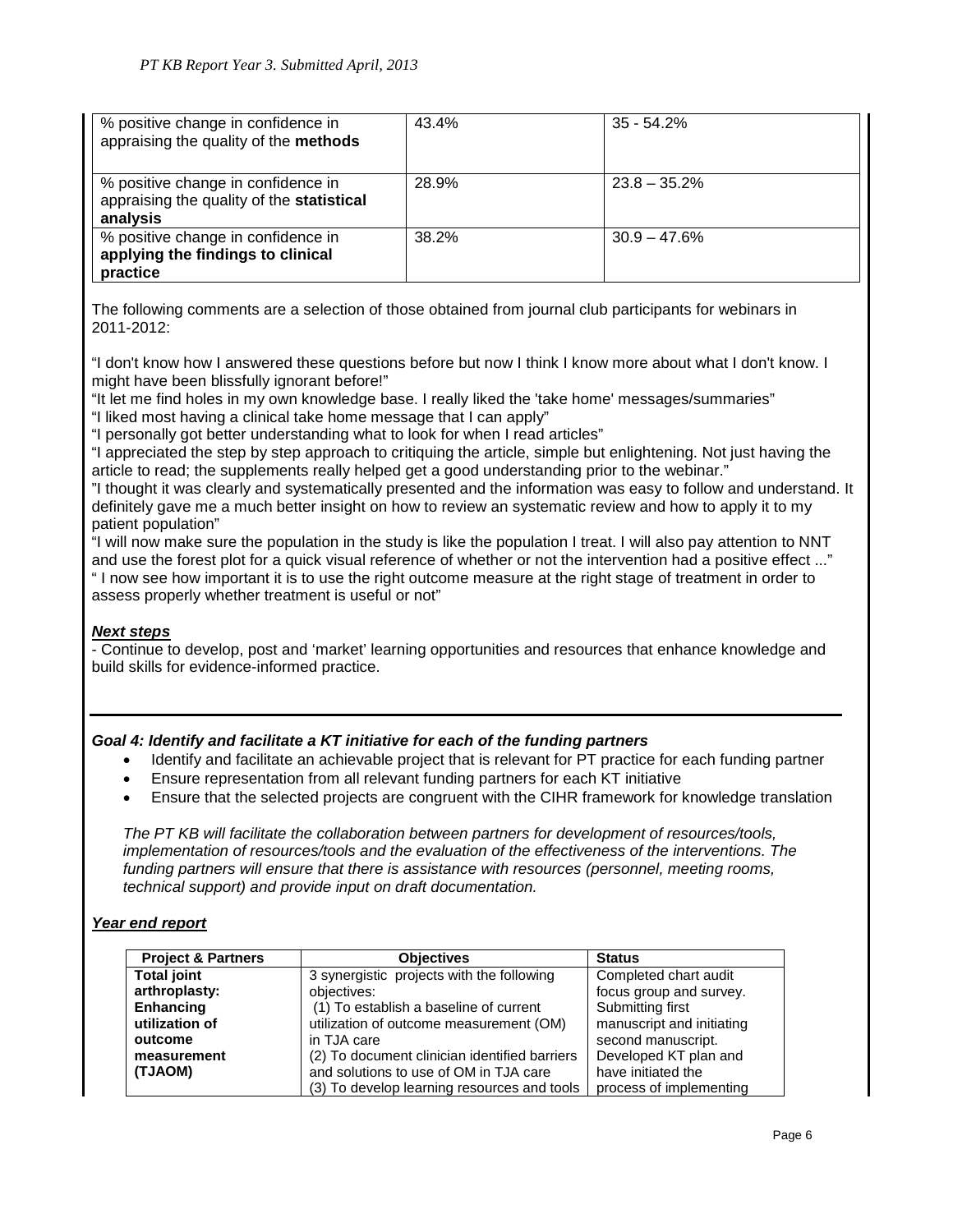| % positive change in confidence in<br>appraising the quality of the methods                 | 43.4% | $35 - 54.2%$    |
|---------------------------------------------------------------------------------------------|-------|-----------------|
| % positive change in confidence in<br>appraising the quality of the statistical<br>analysis | 28.9% | $23.8 - 35.2\%$ |
| % positive change in confidence in<br>applying the findings to clinical<br>practice         | 38.2% | $30.9 - 47.6\%$ |

The following comments are a selection of those obtained from journal club participants for webinars in 2011-2012:

"I don't know how I answered these questions before but now I think I know more about what I don't know. I might have been blissfully ignorant before!"

"It let me find holes in my own knowledge base. I really liked the 'take home' messages/summaries" "I liked most having a clinical take home message that I can apply"

"I personally got better understanding what to look for when I read articles"

"I appreciated the step by step approach to critiquing the article, simple but enlightening. Not just having the article to read; the supplements really helped get a good understanding prior to the webinar."

"I thought it was clearly and systematically presented and the information was easy to follow and understand. It definitely gave me a much better insight on how to review an systematic review and how to apply it to my patient population"

"I will now make sure the population in the study is like the population I treat. I will also pay attention to NNT and use the forest plot for a quick visual reference of whether or not the intervention had a positive effect ..." " I now see how important it is to use the right outcome measure at the right stage of treatment in order to assess properly whether treatment is useful or not"

## *Next steps*

- Continue to develop, post and 'market' learning opportunities and resources that enhance knowledge and build skills for evidence-informed practice.

## *Goal 4: Identify and facilitate a KT initiative for each of the funding partners*

- Identify and facilitate an achievable project that is relevant for PT practice for each funding partner
- Ensure representation from all relevant funding partners for each KT initiative
- Ensure that the selected projects are congruent with the CIHR framework for knowledge translation

*The PT KB will facilitate the collaboration between partners for development of resources/tools, implementation of resources/tools and the evaluation of the effectiveness of the interventions. The funding partners will ensure that there is assistance with resources (personnel, meeting rooms, technical support) and provide input on draft documentation.*

## *Year end report*

| <b>Project &amp; Partners</b> | <b>Objectives</b>                             | <b>Status</b>             |
|-------------------------------|-----------------------------------------------|---------------------------|
| <b>Total joint</b>            | 3 synergistic projects with the following     | Completed chart audit     |
| arthroplasty:                 | objectives:                                   | focus group and survey.   |
| Enhancing                     | (1) To establish a baseline of current        | Submitting first          |
| utilization of                | utilization of outcome measurement (OM)       | manuscript and initiating |
| outcome                       | in TJA care                                   | second manuscript.        |
| measurement                   | (2) To document clinician identified barriers | Developed KT plan and     |
| (TJAOM)                       | and solutions to use of OM in TJA care        | have initiated the        |
|                               | (3) To develop learning resources and tools   | process of implementing   |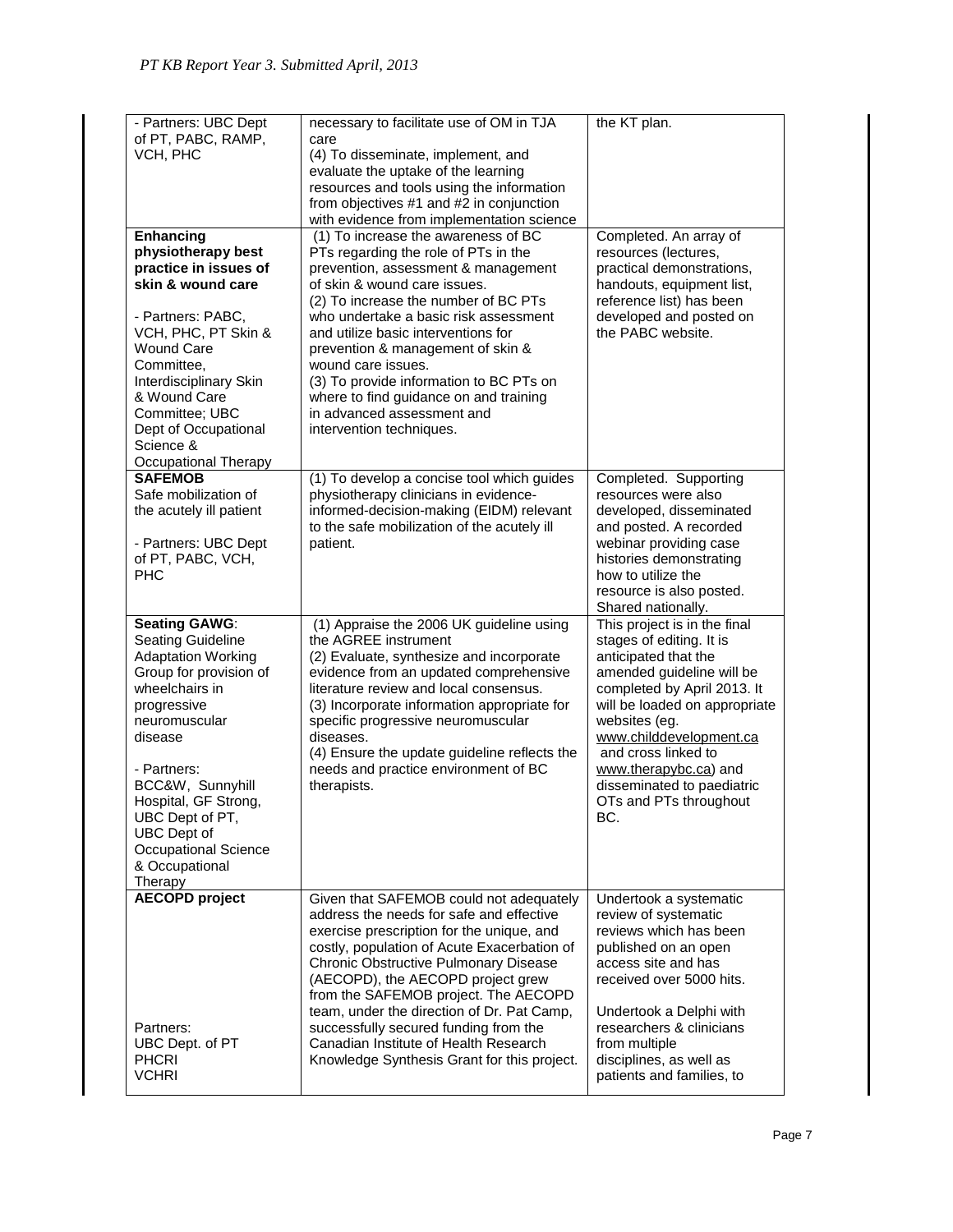| - Partners: UBC Dept<br>of PT, PABC, RAMP,<br>VCH, PHC<br><b>Enhancing</b><br>physiotherapy best<br>practice in issues of                                                                                                                                                                                       | necessary to facilitate use of OM in TJA<br>care<br>(4) To disseminate, implement, and<br>evaluate the uptake of the learning<br>resources and tools using the information<br>from objectives #1 and #2 in conjunction<br>with evidence from implementation science<br>(1) To increase the awareness of BC<br>PTs regarding the role of PTs in the<br>prevention, assessment & management                                                                                                   | the KT plan.<br>Completed. An array of<br>resources (lectures,<br>practical demonstrations,                                                                                                                                                                                                                                              |
|-----------------------------------------------------------------------------------------------------------------------------------------------------------------------------------------------------------------------------------------------------------------------------------------------------------------|---------------------------------------------------------------------------------------------------------------------------------------------------------------------------------------------------------------------------------------------------------------------------------------------------------------------------------------------------------------------------------------------------------------------------------------------------------------------------------------------|------------------------------------------------------------------------------------------------------------------------------------------------------------------------------------------------------------------------------------------------------------------------------------------------------------------------------------------|
| skin & wound care<br>- Partners: PABC,<br>VCH, PHC, PT Skin &<br><b>Wound Care</b><br>Committee,<br>Interdisciplinary Skin<br>& Wound Care<br>Committee; UBC<br>Dept of Occupational<br>Science &<br>Occupational Therapy                                                                                       | of skin & wound care issues.<br>(2) To increase the number of BC PTs<br>who undertake a basic risk assessment<br>and utilize basic interventions for<br>prevention & management of skin &<br>wound care issues.<br>(3) To provide information to BC PTs on<br>where to find guidance on and training<br>in advanced assessment and<br>intervention techniques.                                                                                                                              | handouts, equipment list,<br>reference list) has been<br>developed and posted on<br>the PABC website.                                                                                                                                                                                                                                    |
| <b>SAFEMOB</b><br>Safe mobilization of<br>the acutely ill patient<br>- Partners: UBC Dept<br>of PT, PABC, VCH,<br>PHC                                                                                                                                                                                           | (1) To develop a concise tool which guides<br>physiotherapy clinicians in evidence-<br>informed-decision-making (EIDM) relevant<br>to the safe mobilization of the acutely ill<br>patient.                                                                                                                                                                                                                                                                                                  | Completed. Supporting<br>resources were also<br>developed, disseminated<br>and posted. A recorded<br>webinar providing case<br>histories demonstrating<br>how to utilize the<br>resource is also posted.<br>Shared nationally.                                                                                                           |
| <b>Seating GAWG:</b><br>Seating Guideline<br><b>Adaptation Working</b><br>Group for provision of<br>wheelchairs in<br>progressive<br>neuromuscular<br>disease<br>- Partners:<br>BCC&W, Sunnyhill<br>Hospital, GF Strong,<br>UBC Dept of PT,<br>UBC Dept of<br>Occupational Science<br>& Occupational<br>Therapy | (1) Appraise the 2006 UK guideline using<br>the AGREE instrument<br>(2) Evaluate, synthesize and incorporate<br>evidence from an updated comprehensive<br>literature review and local consensus.<br>(3) Incorporate information appropriate for<br>specific progressive neuromuscular<br>diseases.<br>(4) Ensure the update guideline reflects the<br>needs and practice environment of BC<br>therapists.                                                                                   | This project is in the final<br>stages of editing. It is<br>anticipated that the<br>amended guideline will be<br>completed by April 2013. It<br>will be loaded on appropriate<br>websites (eg.<br>www.childdevelopment.ca<br>and cross linked to<br>www.therapybc.ca) and<br>disseminated to paediatric<br>OTs and PTs throughout<br>BC. |
| <b>AECOPD</b> project<br>Partners:<br>UBC Dept. of PT<br><b>PHCRI</b><br><b>VCHRI</b>                                                                                                                                                                                                                           | Given that SAFEMOB could not adequately<br>address the needs for safe and effective<br>exercise prescription for the unique, and<br>costly, population of Acute Exacerbation of<br><b>Chronic Obstructive Pulmonary Disease</b><br>(AECOPD), the AECOPD project grew<br>from the SAFEMOB project. The AECOPD<br>team, under the direction of Dr. Pat Camp,<br>successfully secured funding from the<br>Canadian Institute of Health Research<br>Knowledge Synthesis Grant for this project. | Undertook a systematic<br>review of systematic<br>reviews which has been<br>published on an open<br>access site and has<br>received over 5000 hits.<br>Undertook a Delphi with<br>researchers & clinicians<br>from multiple<br>disciplines, as well as<br>patients and families, to                                                      |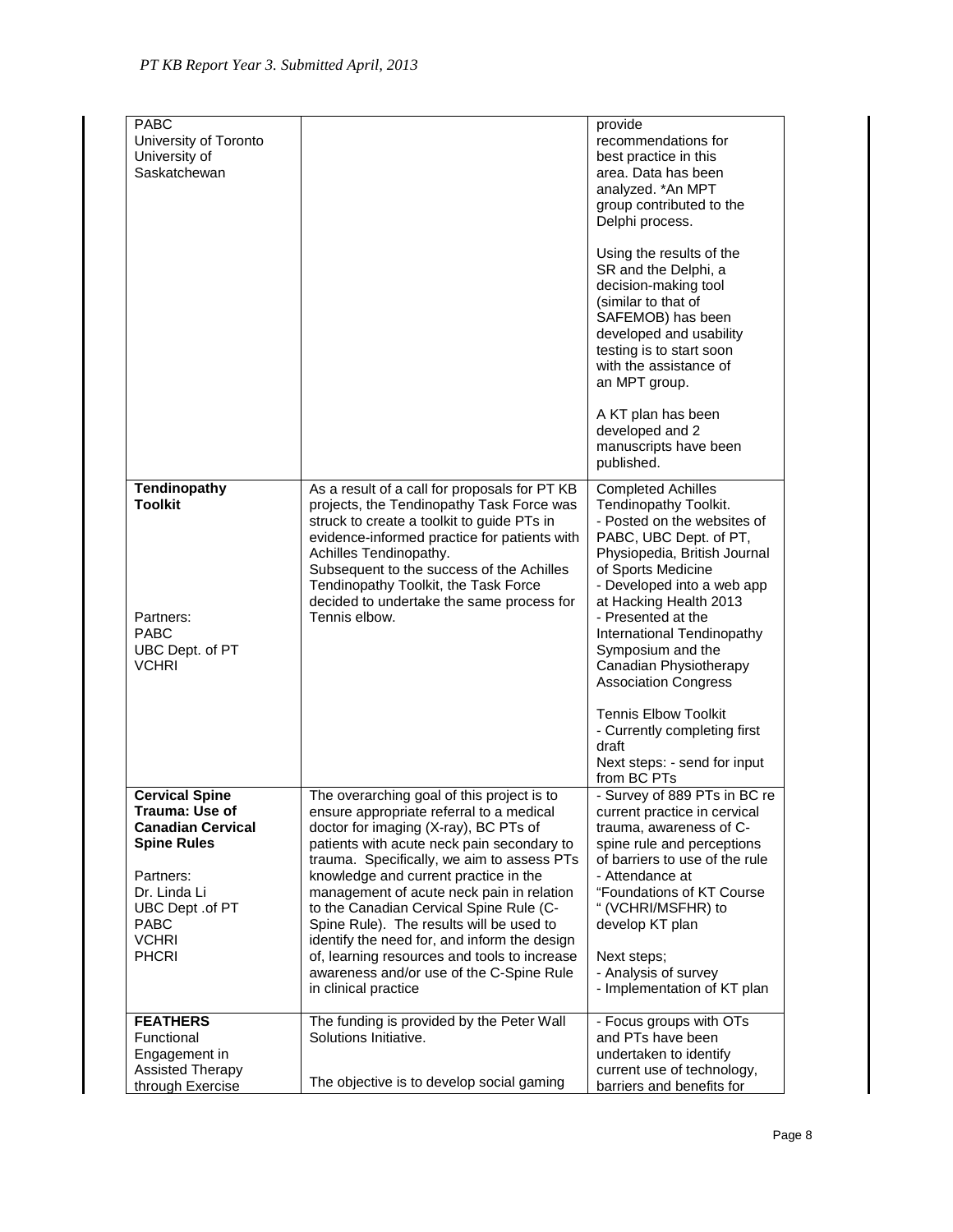| <b>PABC</b><br>University of Toronto<br>University of<br>Saskatchewan                                                                                                             |                                                                                                                                                                                                                                                                                                                                                                                                                                                                                                                                                                              | provide<br>recommendations for<br>best practice in this<br>area. Data has been<br>analyzed. * An MPT<br>group contributed to the<br>Delphi process.<br>Using the results of the<br>SR and the Delphi, a<br>decision-making tool<br>(similar to that of<br>SAFEMOB) has been<br>developed and usability<br>testing is to start soon<br>with the assistance of<br>an MPT group.<br>A KT plan has been<br>developed and 2<br>manuscripts have been<br>published.                      |
|-----------------------------------------------------------------------------------------------------------------------------------------------------------------------------------|------------------------------------------------------------------------------------------------------------------------------------------------------------------------------------------------------------------------------------------------------------------------------------------------------------------------------------------------------------------------------------------------------------------------------------------------------------------------------------------------------------------------------------------------------------------------------|------------------------------------------------------------------------------------------------------------------------------------------------------------------------------------------------------------------------------------------------------------------------------------------------------------------------------------------------------------------------------------------------------------------------------------------------------------------------------------|
| <b>Tendinopathy</b><br><b>Toolkit</b><br>Partners:<br><b>PABC</b><br>UBC Dept. of PT<br><b>VCHRI</b>                                                                              | As a result of a call for proposals for PT KB<br>projects, the Tendinopathy Task Force was<br>struck to create a toolkit to guide PTs in<br>evidence-informed practice for patients with<br>Achilles Tendinopathy.<br>Subsequent to the success of the Achilles<br>Tendinopathy Toolkit, the Task Force<br>decided to undertake the same process for<br>Tennis elbow.                                                                                                                                                                                                        | <b>Completed Achilles</b><br>Tendinopathy Toolkit.<br>- Posted on the websites of<br>PABC, UBC Dept. of PT,<br>Physiopedia, British Journal<br>of Sports Medicine<br>- Developed into a web app<br>at Hacking Health 2013<br>- Presented at the<br>International Tendinopathy<br>Symposium and the<br>Canadian Physiotherapy<br><b>Association Congress</b><br><b>Tennis Elbow Toolkit</b><br>- Currently completing first<br>draft<br>Next steps: - send for input<br>from BC PTs |
| <b>Cervical Spine</b><br>Trauma: Use of<br><b>Canadian Cervical</b><br><b>Spine Rules</b><br>Partners:<br>Dr. Linda Li<br>UBC Dept .of PT<br>PABC<br><b>VCHRI</b><br><b>PHCRI</b> | The overarching goal of this project is to<br>ensure appropriate referral to a medical<br>doctor for imaging (X-ray), BC PTs of<br>patients with acute neck pain secondary to<br>trauma. Specifically, we aim to assess PTs<br>knowledge and current practice in the<br>management of acute neck pain in relation<br>to the Canadian Cervical Spine Rule (C-<br>Spine Rule). The results will be used to<br>identify the need for, and inform the design<br>of, learning resources and tools to increase<br>awareness and/or use of the C-Spine Rule<br>in clinical practice | - Survey of 889 PTs in BC re<br>current practice in cervical<br>trauma, awareness of C-<br>spine rule and perceptions<br>of barriers to use of the rule<br>- Attendance at<br>"Foundations of KT Course<br>" (VCHRI/MSFHR) to<br>develop KT plan<br>Next steps;<br>- Analysis of survey<br>- Implementation of KT plan                                                                                                                                                             |
| <b>FEATHERS</b><br>Functional<br>Engagement in<br><b>Assisted Therapy</b><br>through Exercise                                                                                     | The funding is provided by the Peter Wall<br>Solutions Initiative.<br>The objective is to develop social gaming                                                                                                                                                                                                                                                                                                                                                                                                                                                              | - Focus groups with OTs<br>and PTs have been<br>undertaken to identify<br>current use of technology,<br>barriers and benefits for                                                                                                                                                                                                                                                                                                                                                  |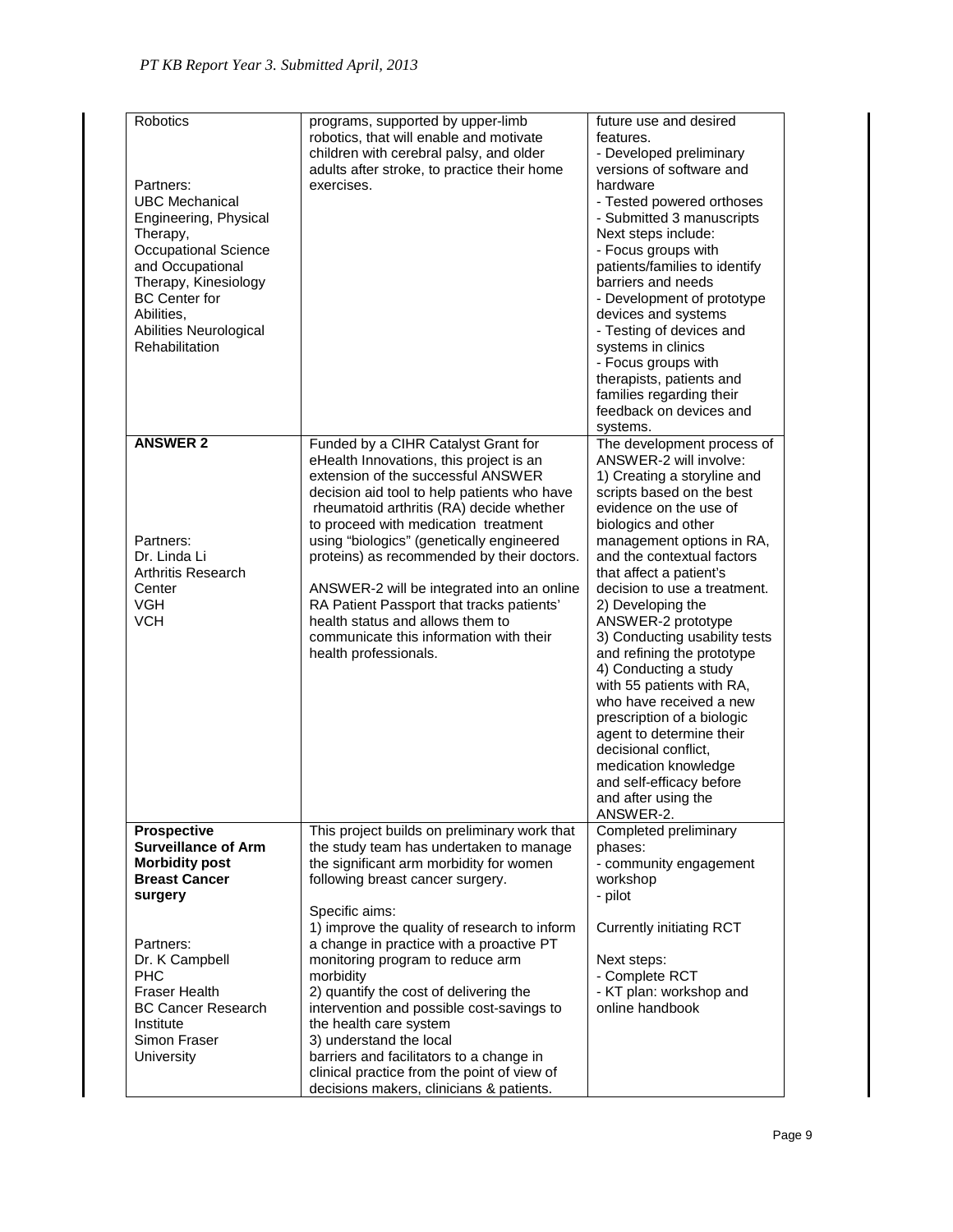| Robotics<br>Partners:<br><b>UBC Mechanical</b><br>Engineering, Physical<br>Therapy,<br><b>Occupational Science</b><br>and Occupational<br>Therapy, Kinesiology<br><b>BC</b> Center for<br>Abilities.<br>Abilities Neurological<br>Rehabilitation | programs, supported by upper-limb<br>robotics, that will enable and motivate<br>children with cerebral palsy, and older<br>adults after stroke, to practice their home<br>exercises.                                                                                                                                                                                                                                                                                                                                                                  | future use and desired<br>features.<br>- Developed preliminary<br>versions of software and<br>hardware<br>- Tested powered orthoses<br>- Submitted 3 manuscripts<br>Next steps include:<br>- Focus groups with<br>patients/families to identify<br>barriers and needs<br>- Development of prototype<br>devices and systems<br>- Testing of devices and<br>systems in clinics<br>- Focus groups with<br>therapists, patients and<br>families regarding their<br>feedback on devices and<br>systems.                                                                                                                                                           |
|--------------------------------------------------------------------------------------------------------------------------------------------------------------------------------------------------------------------------------------------------|-------------------------------------------------------------------------------------------------------------------------------------------------------------------------------------------------------------------------------------------------------------------------------------------------------------------------------------------------------------------------------------------------------------------------------------------------------------------------------------------------------------------------------------------------------|--------------------------------------------------------------------------------------------------------------------------------------------------------------------------------------------------------------------------------------------------------------------------------------------------------------------------------------------------------------------------------------------------------------------------------------------------------------------------------------------------------------------------------------------------------------------------------------------------------------------------------------------------------------|
| <b>ANSWER 2</b><br>Partners:<br>Dr. Linda Li<br><b>Arthritis Research</b><br>Center<br><b>VGH</b><br><b>VCH</b>                                                                                                                                  | Funded by a CIHR Catalyst Grant for<br>eHealth Innovations, this project is an<br>extension of the successful ANSWER<br>decision aid tool to help patients who have<br>rheumatoid arthritis (RA) decide whether<br>to proceed with medication treatment<br>using "biologics" (genetically engineered<br>proteins) as recommended by their doctors.<br>ANSWER-2 will be integrated into an online<br>RA Patient Passport that tracks patients'<br>health status and allows them to<br>communicate this information with their<br>health professionals. | The development process of<br>ANSWER-2 will involve:<br>1) Creating a storyline and<br>scripts based on the best<br>evidence on the use of<br>biologics and other<br>management options in RA,<br>and the contextual factors<br>that affect a patient's<br>decision to use a treatment.<br>2) Developing the<br>ANSWER-2 prototype<br>3) Conducting usability tests<br>and refining the prototype<br>4) Conducting a study<br>with 55 patients with RA,<br>who have received a new<br>prescription of a biologic<br>agent to determine their<br>decisional conflict,<br>medication knowledge<br>and self-efficacy before<br>and after using the<br>ANSWER-2. |
| <b>Prospective</b><br><b>Surveillance of Arm</b><br><b>Morbidity post</b><br><b>Breast Cancer</b><br>surgery                                                                                                                                     | This project builds on preliminary work that<br>the study team has undertaken to manage<br>the significant arm morbidity for women<br>following breast cancer surgery.<br>Specific aims:                                                                                                                                                                                                                                                                                                                                                              | Completed preliminary<br>phases:<br>- community engagement<br>workshop<br>- pilot                                                                                                                                                                                                                                                                                                                                                                                                                                                                                                                                                                            |
| Partners:<br>Dr. K Campbell<br><b>PHC</b><br><b>Fraser Health</b><br><b>BC Cancer Research</b><br>Institute<br>Simon Fraser<br><b>University</b>                                                                                                 | 1) improve the quality of research to inform<br>a change in practice with a proactive PT<br>monitoring program to reduce arm<br>morbidity<br>2) quantify the cost of delivering the<br>intervention and possible cost-savings to<br>the health care system<br>3) understand the local<br>barriers and facilitators to a change in<br>clinical practice from the point of view of<br>decisions makers, clinicians & patients.                                                                                                                          | <b>Currently initiating RCT</b><br>Next steps:<br>- Complete RCT<br>- KT plan: workshop and<br>online handbook                                                                                                                                                                                                                                                                                                                                                                                                                                                                                                                                               |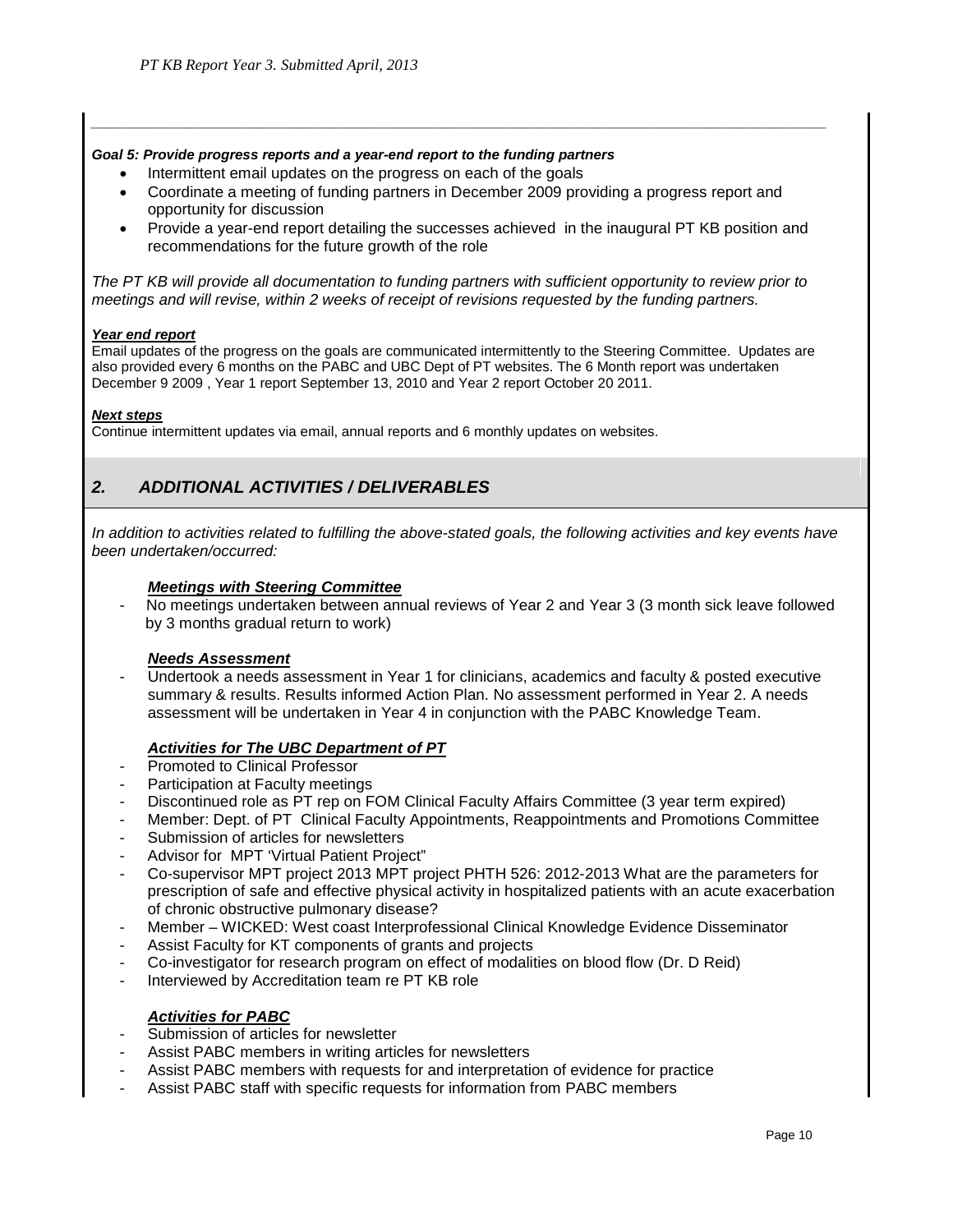## *Goal 5: Provide progress reports and a year-end report to the funding partners*

- Intermittent email updates on the progress on each of the goals
- Coordinate a meeting of funding partners in December 2009 providing a progress report and opportunity for discussion

*\_\_\_\_\_\_\_\_\_\_\_\_\_\_\_\_\_\_\_\_\_\_\_\_\_\_\_\_\_\_\_\_\_\_\_\_\_\_\_\_\_\_\_\_\_\_\_\_\_\_\_\_\_\_\_\_\_\_\_\_\_\_\_\_\_\_\_\_\_\_\_\_\_\_\_\_\_\_\_\_\_\_\_\_\_*

• Provide a year-end report detailing the successes achieved in the inaugural PT KB position and recommendations for the future growth of the role

*The PT KB will provide all documentation to funding partners with sufficient opportunity to review prior to meetings and will revise, within 2 weeks of receipt of revisions requested by the funding partners.*

## *Year end report*

Email updates of the progress on the goals are communicated intermittently to the Steering Committee. Updates are also provided every 6 months on the PABC and UBC Dept of PT websites. The 6 Month report was undertaken December 9 2009 , Year 1 report September 13, 2010 and Year 2 report October 20 2011.

## *Next steps*

Continue intermittent updates via email, annual reports and 6 monthly updates on websites.

## *2. ADDITIONAL ACTIVITIES / DELIVERABLES*

In addition to activities related to fulfilling the above-stated goals, the following activities and key events have *been undertaken/occurred:* 

## *Meetings with Steering Committee*

- No meetings undertaken between annual reviews of Year 2 and Year 3 (3 month sick leave followed by 3 months gradual return to work)

## *Needs Assessment*

Undertook a needs assessment in Year 1 for clinicians, academics and faculty & posted executive summary & results. Results informed Action Plan. No assessment performed in Year 2. A needs assessment will be undertaken in Year 4 in conjunction with the PABC Knowledge Team.

## *Activities for The UBC Department of PT*

- Promoted to Clinical Professor
- Participation at Faculty meetings
- Discontinued role as PT rep on FOM Clinical Faculty Affairs Committee (3 year term expired)<br>- Member: Dept. of PT Clinical Faculty Appointments, Reappointments and Promotions Comm
- Member: Dept. of PT Clinical Faculty Appointments, Reappointments and Promotions Committee
- Submission of articles for newsletters
- Advisor for MPT 'Virtual Patient Project"
- Co-supervisor MPT project 2013 MPT project PHTH 526: 2012-2013 What are the parameters for prescription of safe and effective physical activity in hospitalized patients with an acute exacerbation of chronic obstructive pulmonary disease?
- Member WICKED: West coast Interprofessional Clinical Knowledge Evidence Disseminator
- Assist Faculty for KT components of grants and projects
- Co-investigator for research program on effect of modalities on blood flow (Dr. D Reid)
- Interviewed by Accreditation team re PT KB role

## *Activities for PABC*

- Submission of articles for newsletter
- Assist PABC members in writing articles for newsletters
- Assist PABC members with requests for and interpretation of evidence for practice
- Assist PABC staff with specific requests for information from PABC members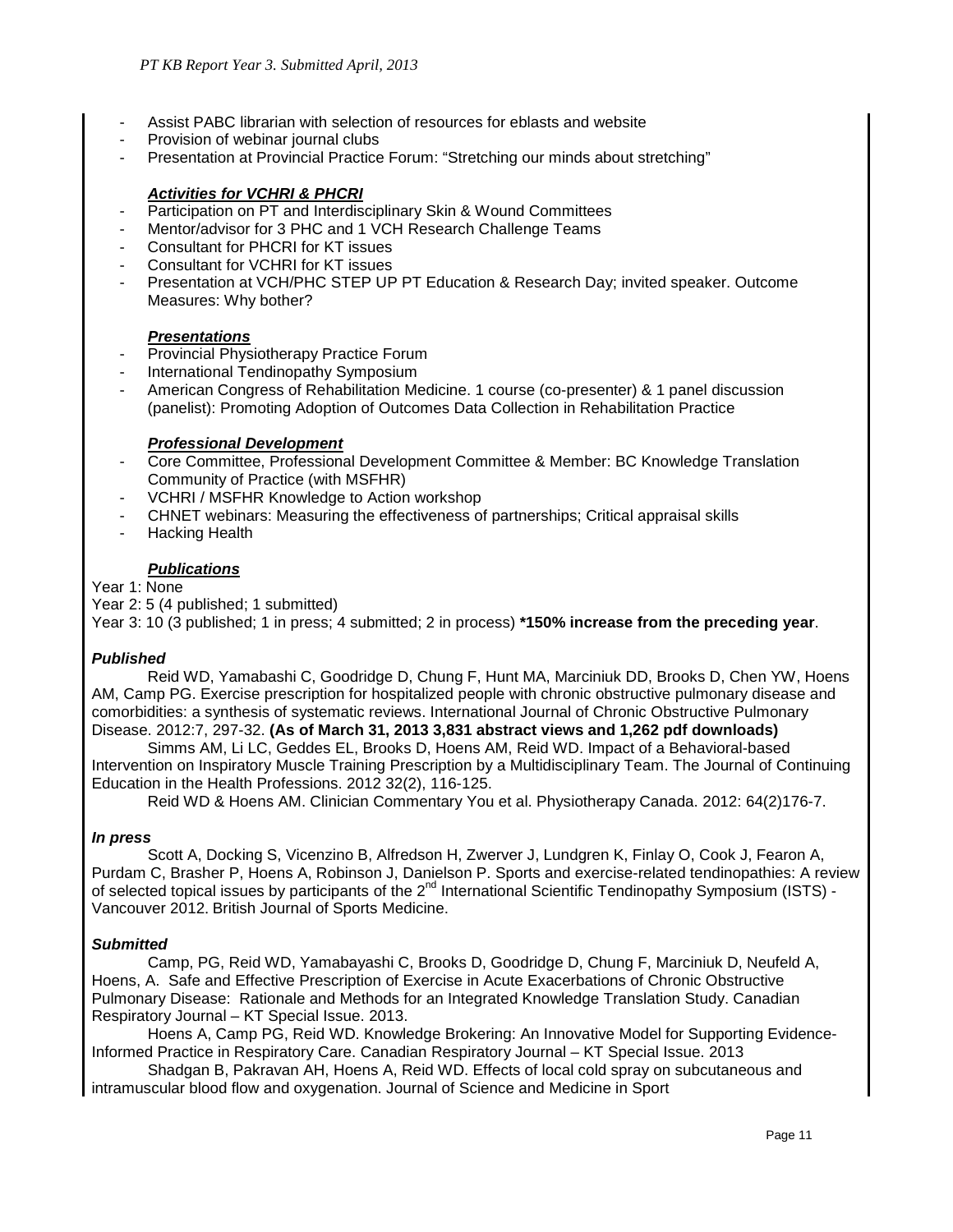- Assist PABC librarian with selection of resources for eblasts and website
- Provision of webinar journal clubs
- Presentation at Provincial Practice Forum: "Stretching our minds about stretching"

## *Activities for VCHRI & PHCRI*

- Participation on PT and Interdisciplinary Skin & Wound Committees
- Mentor/advisor for 3 PHC and 1 VCH Research Challenge Teams
- Consultant for PHCRI for KT issues
- Consultant for VCHRI for KT issues
- Presentation at VCH/PHC STEP UP PT Education & Research Day; invited speaker. Outcome Measures: Why bother?

## *Presentations*

- Provincial Physiotherapy Practice Forum
- International Tendinopathy Symposium
- American Congress of Rehabilitation Medicine. 1 course (co-presenter) & 1 panel discussion (panelist): Promoting Adoption of Outcomes Data Collection in Rehabilitation Practice

## *Professional Development*

- Core Committee, Professional Development Committee & Member: BC Knowledge Translation Community of Practice (with MSFHR)
- VCHRI / MSFHR Knowledge to Action workshop
- CHNET webinars: Measuring the effectiveness of partnerships; Critical appraisal skills
- Hacking Health

## *Publications*

## Year 1: None

Year 2: 5 (4 published; 1 submitted) Year 3: 10 (3 published; 1 in press; 4 submitted; 2 in process) **\*150% increase from the preceding year**.

## *Published*

Reid WD, Yamabashi C, Goodridge D, Chung F, Hunt MA, Marciniuk DD, Brooks D, Chen YW, Hoens AM, Camp PG. Exercise prescription for hospitalized people with chronic obstructive pulmonary disease and comorbidities: a synthesis of systematic reviews. International Journal of Chronic Obstructive Pulmonary Disease. 2012:7, 297-32. **(As of March 31, 2013 3,831 abstract views and 1,262 pdf downloads)**

Simms AM, Li LC, Geddes EL, Brooks D, Hoens AM, Reid WD. Impact of a Behavioral-based Intervention on Inspiratory Muscle Training Prescription by a Multidisciplinary Team. The Journal of Continuing Education in the Health Professions. 2012 32(2), 116-125.

Reid WD & Hoens AM. Clinician Commentary You et al. Physiotherapy Canada. 2012: 64(2)176-7.

## *In press*

Scott A, Docking S, Vicenzino B, Alfredson H, Zwerver J, Lundgren K, Finlay O, Cook J, Fearon A, Purdam C, Brasher P, Hoens A, Robinson J, Danielson P. Sports and exercise-related tendinopathies: A review of selected topical issues by participants of the 2<sup>nd</sup> International Scientific Tendinopathy Symposium (ISTS) -Vancouver 2012. British Journal of Sports Medicine.

## *Submitted*

Camp, PG, Reid WD, Yamabayashi C, Brooks D, Goodridge D, Chung F, Marciniuk D, Neufeld A, Hoens, A. Safe and Effective Prescription of Exercise in Acute Exacerbations of Chronic Obstructive Pulmonary Disease: Rationale and Methods for an Integrated Knowledge Translation Study. Canadian Respiratory Journal – KT Special Issue. 2013.

Hoens A, Camp PG, Reid WD. Knowledge Brokering: An Innovative Model for Supporting Evidence-Informed Practice in Respiratory Care. Canadian Respiratory Journal – KT Special Issue. 2013

Shadgan B, Pakravan AH, Hoens A, Reid WD. Effects of local cold spray on subcutaneous and intramuscular blood flow and oxygenation. Journal of Science and Medicine in Sport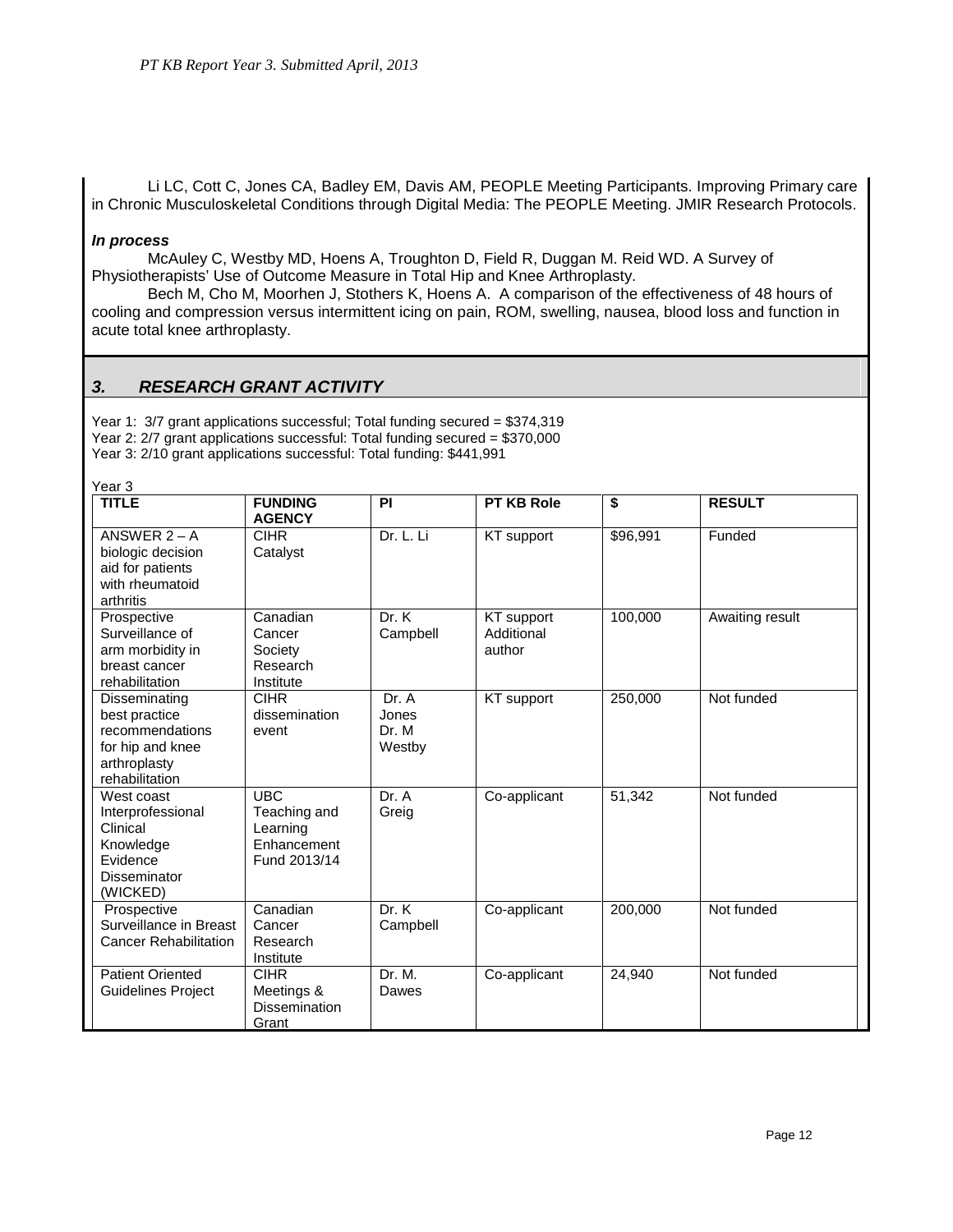Li LC, Cott C, Jones CA, Badley EM, Davis AM, PEOPLE Meeting Participants. Improving Primary care in Chronic Musculoskeletal Conditions through Digital Media: The PEOPLE Meeting. JMIR Research Protocols.

#### *In process*

McAuley C, Westby MD, Hoens A, Troughton D, Field R, Duggan M. Reid WD. A Survey of Physiotherapists' Use of Outcome Measure in Total Hip and Knee Arthroplasty.

Bech M, Cho M, Moorhen J, Stothers K, Hoens A. A comparison of the effectiveness of 48 hours of cooling and compression versus intermittent icing on pain, ROM, swelling, nausea, blood loss and function in acute total knee arthroplasty.

## *3. RESEARCH GRANT ACTIVITY*

Year 1: 3/7 grant applications successful; Total funding secured = \$374,319 Year 2: 2/7 grant applications successful: Total funding secured = \$370,000 Year 3: 2/10 grant applications successful: Total funding: \$441,991

| <b>TITLE</b>                                                                                            | <b>FUNDING</b><br><b>AGENCY</b>                                       | PI                                | <b>PT KB Role</b>                  | \$       | <b>RESULT</b>   |
|---------------------------------------------------------------------------------------------------------|-----------------------------------------------------------------------|-----------------------------------|------------------------------------|----------|-----------------|
| ANSWER $2 - A$<br>biologic decision<br>aid for patients<br>with rheumatoid<br>arthritis                 | <b>CIHR</b><br>Catalyst                                               | Dr. L. Li                         | KT support                         | \$96,991 | Funded          |
| Prospective<br>Surveillance of<br>arm morbidity in<br>breast cancer<br>rehabilitation                   | Canadian<br>Cancer<br>Society<br>Research<br>Institute                | Dr. K<br>Campbell                 | KT support<br>Additional<br>author | 100,000  | Awaiting result |
| Disseminating<br>best practice<br>recommendations<br>for hip and knee<br>arthroplasty<br>rehabilitation | <b>CIHR</b><br>dissemination<br>event                                 | Dr. A<br>Jones<br>Dr. M<br>Westby | KT support                         | 250,000  | Not funded      |
| West coast<br>Interprofessional<br>Clinical<br>Knowledge<br>Evidence<br>Disseminator<br>(WICKED)        | <b>UBC</b><br>Teaching and<br>Learning<br>Enhancement<br>Fund 2013/14 | Dr. A<br>Greig                    | Co-applicant                       | 51,342   | Not funded      |
| Prospective<br>Surveillance in Breast<br><b>Cancer Rehabilitation</b>                                   | Canadian<br>Cancer<br>Research<br>Institute                           | Dr. K<br>Campbell                 | Co-applicant                       | 200.000  | Not funded      |
| <b>Patient Oriented</b><br><b>Guidelines Project</b>                                                    | CIHR<br>Meetings &<br><b>Dissemination</b><br>Grant                   | Dr. M.<br>Dawes                   | Co-applicant                       | 24,940   | Not funded      |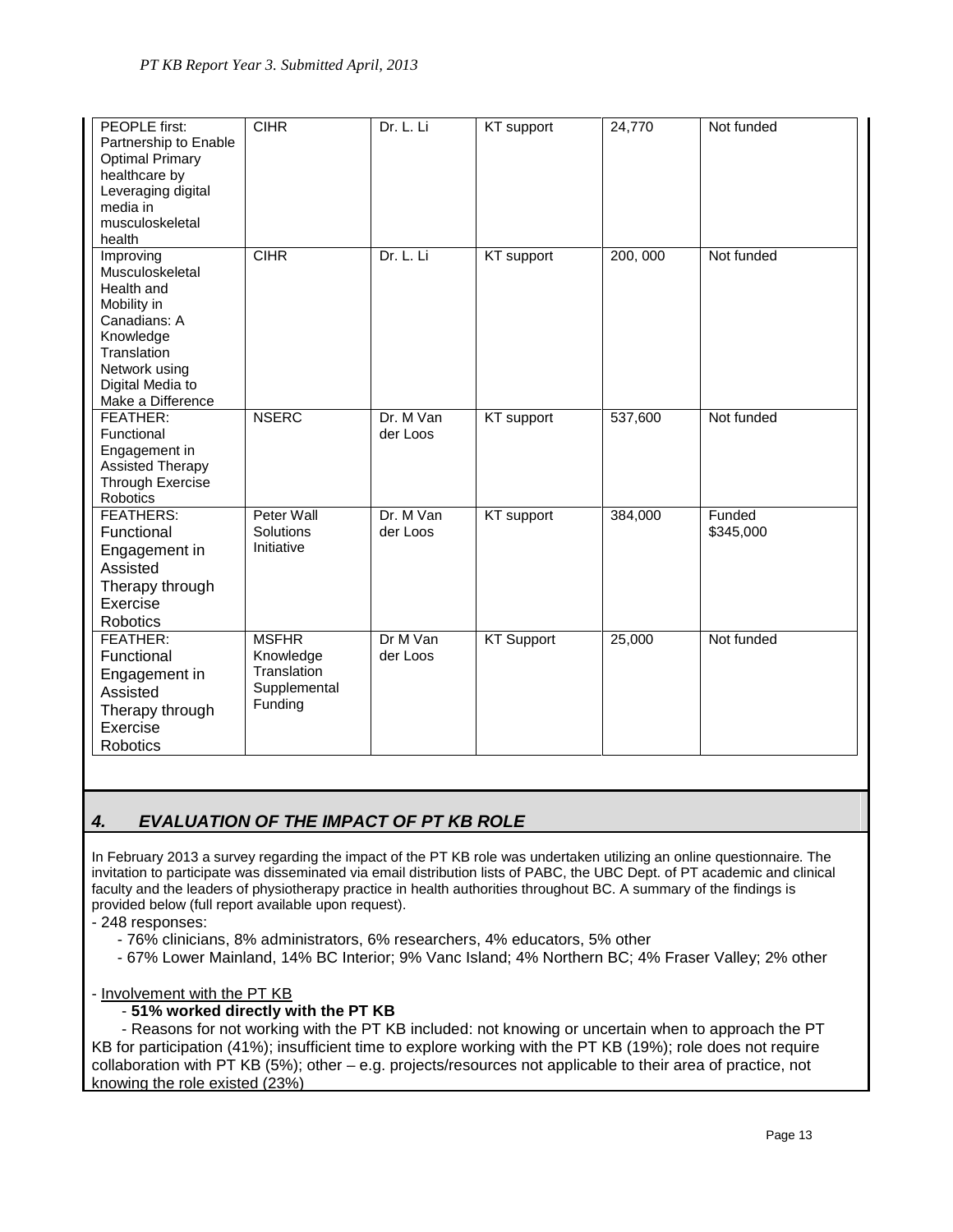| PEOPLE first:<br>Partnership to Enable<br><b>Optimal Primary</b><br>healthcare by<br>Leveraging digital                                                         | <b>CIHR</b>                                                         | Dr. L. Li             | <b>KT</b> support | 24,770  | Not funded          |
|-----------------------------------------------------------------------------------------------------------------------------------------------------------------|---------------------------------------------------------------------|-----------------------|-------------------|---------|---------------------|
| media in<br>musculoskeletal<br>health                                                                                                                           |                                                                     |                       |                   |         |                     |
| Improving<br>Musculoskeletal<br>Health and<br>Mobility in<br>Canadians: A<br>Knowledge<br>Translation<br>Network using<br>Digital Media to<br>Make a Difference | <b>CIHR</b>                                                         | Dr. L. Li             | KT support        | 200,000 | Not funded          |
| FEATHER:<br>Functional<br>Engagement in<br><b>Assisted Therapy</b><br><b>Through Exercise</b><br>Robotics                                                       | <b>NSERC</b>                                                        | Dr. M Van<br>der Loos | KT support        | 537,600 | Not funded          |
| <b>FEATHERS:</b><br>Functional<br>Engagement in<br>Assisted<br>Therapy through<br>Exercise<br>Robotics                                                          | Peter Wall<br>Solutions<br>Initiative                               | Dr. M Van<br>der Loos | KT support        | 384,000 | Funded<br>\$345,000 |
| FEATHER:<br>Functional<br>Engagement in<br>Assisted<br>Therapy through<br>Exercise<br><b>Robotics</b>                                                           | <b>MSFHR</b><br>Knowledge<br>Translation<br>Supplemental<br>Funding | Dr M Van<br>der Loos  | <b>KT Support</b> | 25,000  | Not funded          |

## *4. EVALUATION OF THE IMPACT OF PT KB ROLE*

In February 2013 a survey regarding the impact of the PT KB role was undertaken utilizing an online questionnaire. The invitation to participate was disseminated via email distribution lists of PABC, the UBC Dept. of PT academic and clinical faculty and the leaders of physiotherapy practice in health authorities throughout BC. A summary of the findings is provided below (full report available upon request).

- 248 responses:

- 76% clinicians, 8% administrators, 6% researchers, 4% educators, 5% other
- 67% Lower Mainland, 14% BC Interior; 9% Vanc Island; 4% Northern BC; 4% Fraser Valley; 2% other

## - Involvement with the PT KB

## - **51% worked directly with the PT KB**

 - Reasons for not working with the PT KB included: not knowing or uncertain when to approach the PT KB for participation (41%); insufficient time to explore working with the PT KB (19%); role does not require collaboration with PT KB (5%); other – e.g. projects/resources not applicable to their area of practice, not knowing the role existed (23%)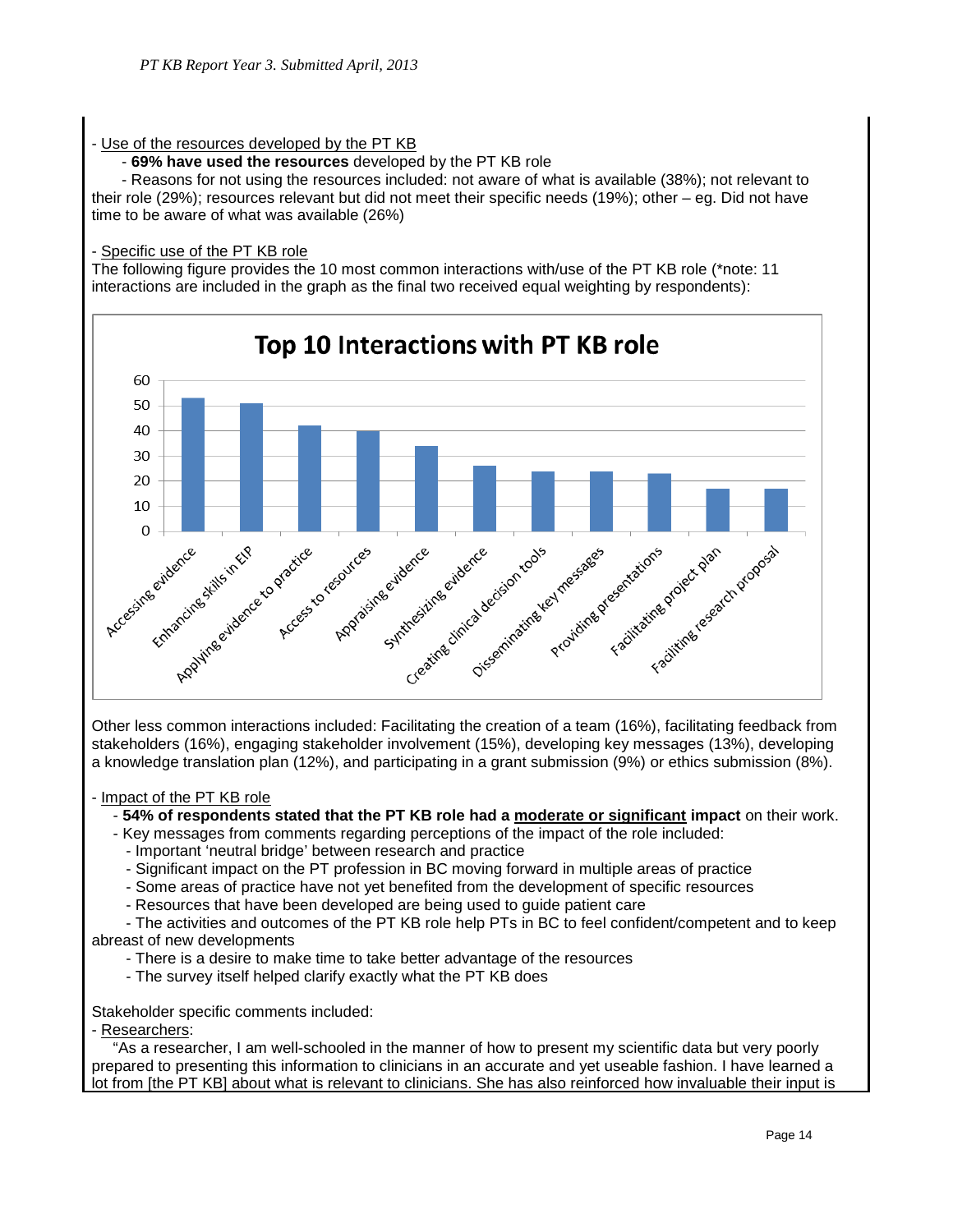## - Use of the resources developed by the PT KB

- **69% have used the resources** developed by the PT KB role

 - Reasons for not using the resources included: not aware of what is available (38%); not relevant to their role (29%); resources relevant but did not meet their specific needs (19%); other – eg. Did not have time to be aware of what was available (26%)

## - Specific use of the PT KB role

The following figure provides the 10 most common interactions with/use of the PT KB role (\*note: 11 interactions are included in the graph as the final two received equal weighting by respondents):



Other less common interactions included: Facilitating the creation of a team (16%), facilitating feedback from stakeholders (16%), engaging stakeholder involvement (15%), developing key messages (13%), developing a knowledge translation plan (12%), and participating in a grant submission (9%) or ethics submission (8%).

## - Impact of the PT KB role

## - **54% of respondents stated that the PT KB role had a moderate or significant impact** on their work.

- Key messages from comments regarding perceptions of the impact of the role included:
	- Important 'neutral bridge' between research and practice
	- Significant impact on the PT profession in BC moving forward in multiple areas of practice
	- Some areas of practice have not yet benefited from the development of specific resources
	- Resources that have been developed are being used to guide patient care

 - The activities and outcomes of the PT KB role help PTs in BC to feel confident/competent and to keep abreast of new developments

- There is a desire to make time to take better advantage of the resources
- The survey itself helped clarify exactly what the PT KB does

Stakeholder specific comments included:

- Researchers:

 "As a researcher, I am well-schooled in the manner of how to present my scientific data but very poorly prepared to presenting this information to clinicians in an accurate and yet useable fashion. I have learned a lot from [the PT KB] about what is relevant to clinicians. She has also reinforced how invaluable their input is